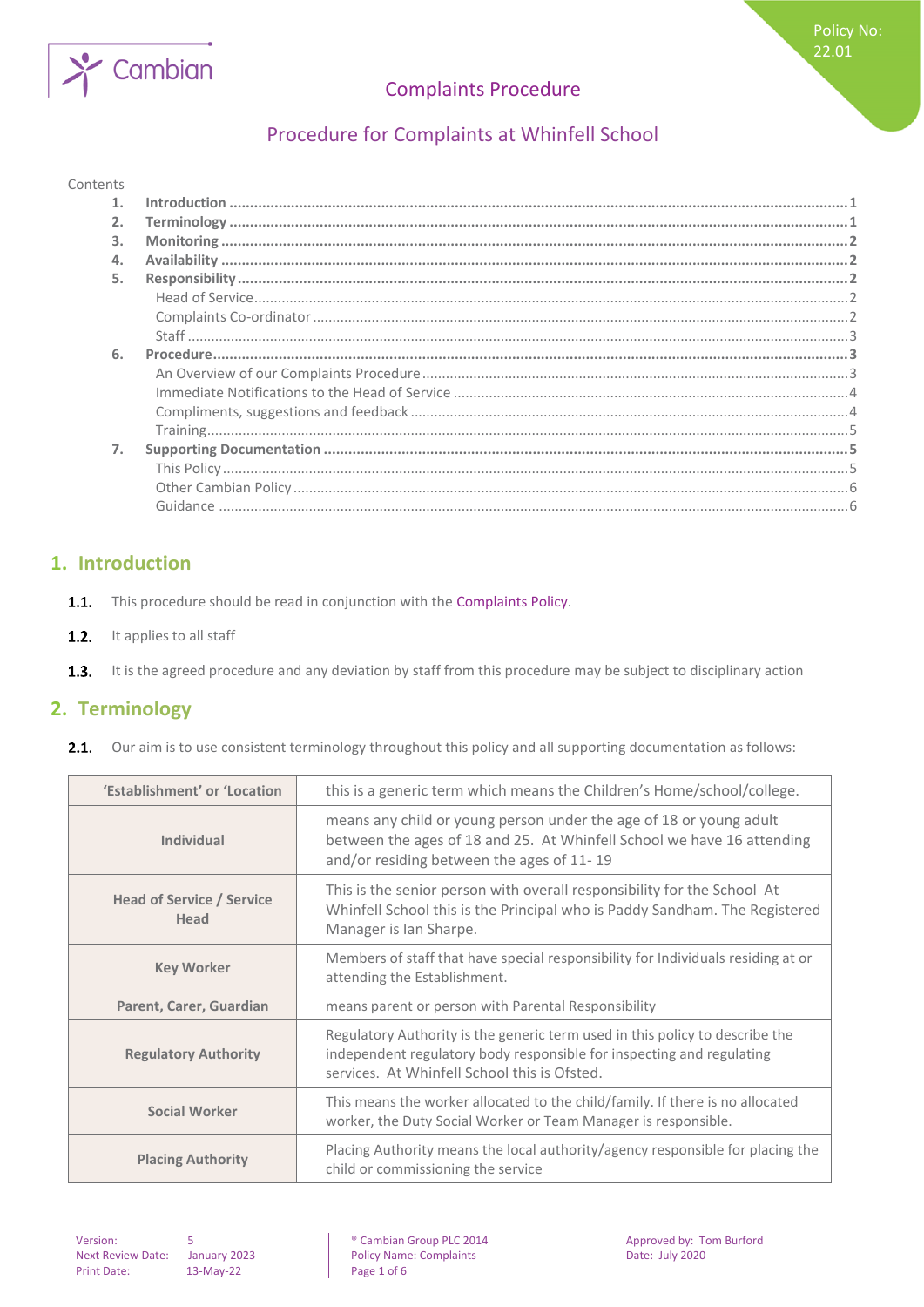

# Procedure for Complaints at Whinfell School

### Contents

| 3. |  |
|----|--|
|    |  |
| 5. |  |
|    |  |
|    |  |
|    |  |
| 6. |  |
|    |  |
|    |  |
|    |  |
|    |  |
|    |  |
|    |  |
|    |  |
|    |  |
|    |  |

### <span id="page-0-0"></span>**1. Introduction**

- $1.1.$ This procedure should be read in conjunction with the Complaints Policy.
- $1.2.$ It applies to all staff
- <span id="page-0-1"></span> $1.3.$ It is the agreed procedure and any deviation by staff from this procedure may be subject to disciplinary action

## **2. Terminology**

2.1. Our aim is to use consistent terminology throughout this policy and all supporting documentation as follows:

| 'Establishment' or 'Location             | this is a generic term which means the Children's Home/school/college.                                                                                                                                |
|------------------------------------------|-------------------------------------------------------------------------------------------------------------------------------------------------------------------------------------------------------|
| <b>Individual</b>                        | means any child or young person under the age of 18 or young adult<br>between the ages of 18 and 25. At Whinfell School we have 16 attending<br>and/or residing between the ages of 11-19             |
| <b>Head of Service / Service</b><br>Head | This is the senior person with overall responsibility for the School At<br>Whinfell School this is the Principal who is Paddy Sandham. The Registered<br>Manager is Ian Sharpe.                       |
| <b>Key Worker</b>                        | Members of staff that have special responsibility for Individuals residing at or<br>attending the Establishment.                                                                                      |
| Parent, Carer, Guardian                  | means parent or person with Parental Responsibility                                                                                                                                                   |
| <b>Regulatory Authority</b>              | Regulatory Authority is the generic term used in this policy to describe the<br>independent regulatory body responsible for inspecting and regulating<br>services. At Whinfell School this is Ofsted. |
| <b>Social Worker</b>                     | This means the worker allocated to the child/family. If there is no allocated<br>worker, the Duty Social Worker or Team Manager is responsible.                                                       |
| <b>Placing Authority</b>                 | Placing Authority means the local authority/agency responsible for placing the<br>child or commissioning the service                                                                                  |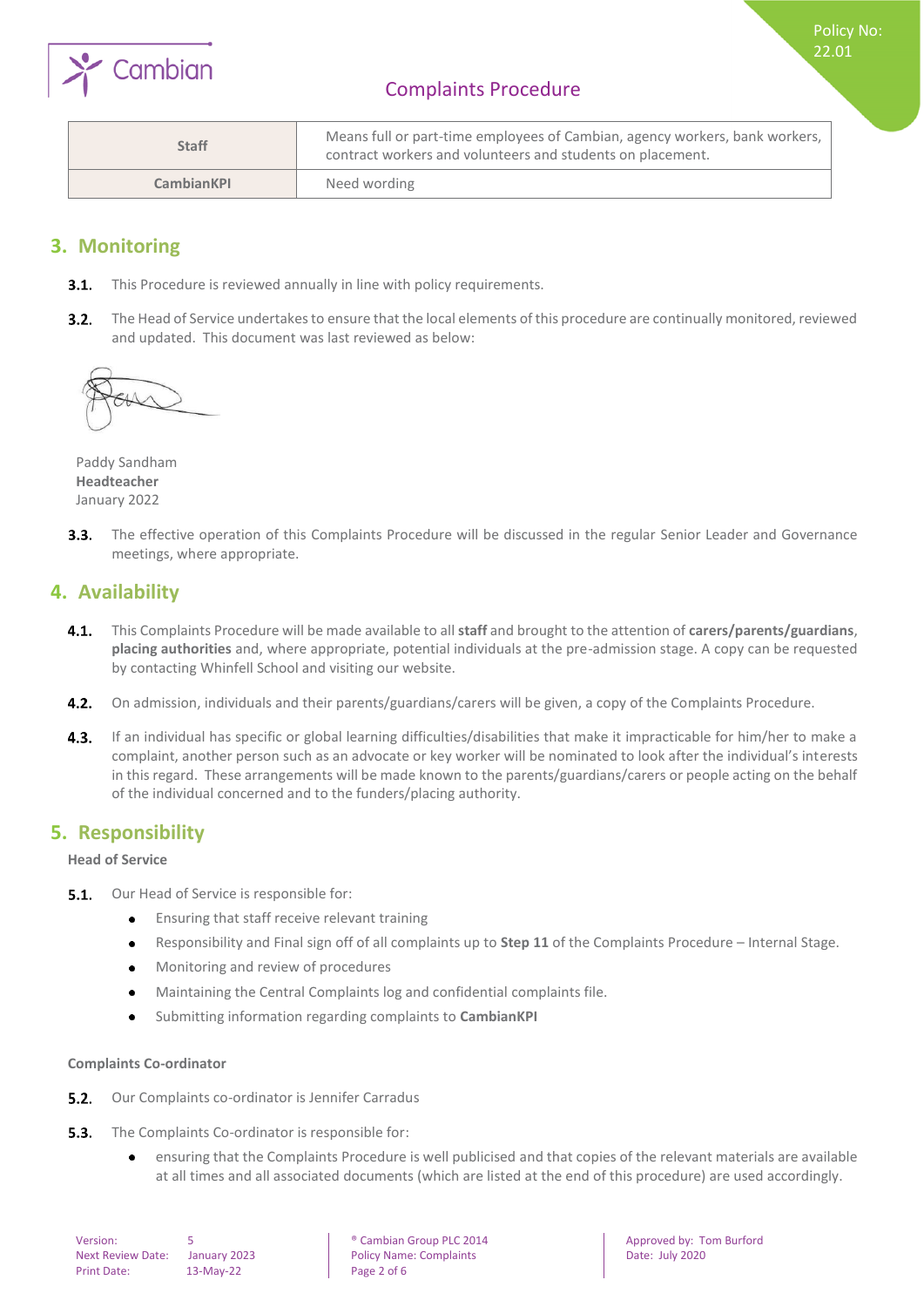

Policy No: 22.01

| <b>Staff</b>      | Means full or part-time employees of Cambian, agency workers, bank workers,  <br>contract workers and volunteers and students on placement. |
|-------------------|---------------------------------------------------------------------------------------------------------------------------------------------|
| <b>CambianKPI</b> | Need wording                                                                                                                                |

### <span id="page-1-0"></span>**3. Monitoring**

- **3.1.** This Procedure is reviewed annually in line with policy requirements.
- $3.2.$ The Head of Service undertakes to ensure that the local elements of this procedure are continually monitored, reviewed and updated. This document was last reviewed as below:



Paddy Sandham **Headteacher** January 2022

 $3.3.$ The effective operation of this Complaints Procedure will be discussed in the regular Senior Leader and Governance meetings, where appropriate.

### <span id="page-1-1"></span>**4. Availability**

- This Complaints Procedure will be made available to all **staff** and brought to the attention of **carers/parents/guardians**,  $4.1.$ **placing authorities** and, where appropriate, potential individuals at the pre-admission stage. A copy can be requested by contacting Whinfell School and visiting our website.
- 4.2. On admission, individuals and their parents/guardians/carers will be given, a copy of the Complaints Procedure.
- 4.3. If an individual has specific or global learning difficulties/disabilities that make it impracticable for him/her to make a complaint, another person such as an advocate or key worker will be nominated to look after the individual's interests in this regard. These arrangements will be made known to the parents/guardians/carers or people acting on the behalf of the individual concerned and to the funders/placing authority.

### <span id="page-1-2"></span>**5. Responsibility**

<span id="page-1-3"></span>**Head of Service**

- **5.1.** Our Head of Service is responsible for:
	- $\bullet$ Ensuring that staff receive relevant training
	- Responsibility and Final sign off of all complaints up to **Step 11** of the Complaints Procedure Internal Stage.  $\bullet$
	- $\bullet$ Monitoring and review of procedures
	- Maintaining the Central Complaints log and confidential complaints file.  $\bullet$
	- Submitting information regarding complaints to **CambianKPI**   $\bullet$

#### <span id="page-1-4"></span>**Complaints Co-ordinator**

- $5.2.$ Our Complaints co-ordinator is Jennifer Carradus
- $5.3.$ The Complaints Co-ordinator is responsible for:
	- ensuring that the Complaints Procedure is well publicised and that copies of the relevant materials are available  $\bullet$ at all times and all associated documents (which are listed at the end of this procedure) are used accordingly.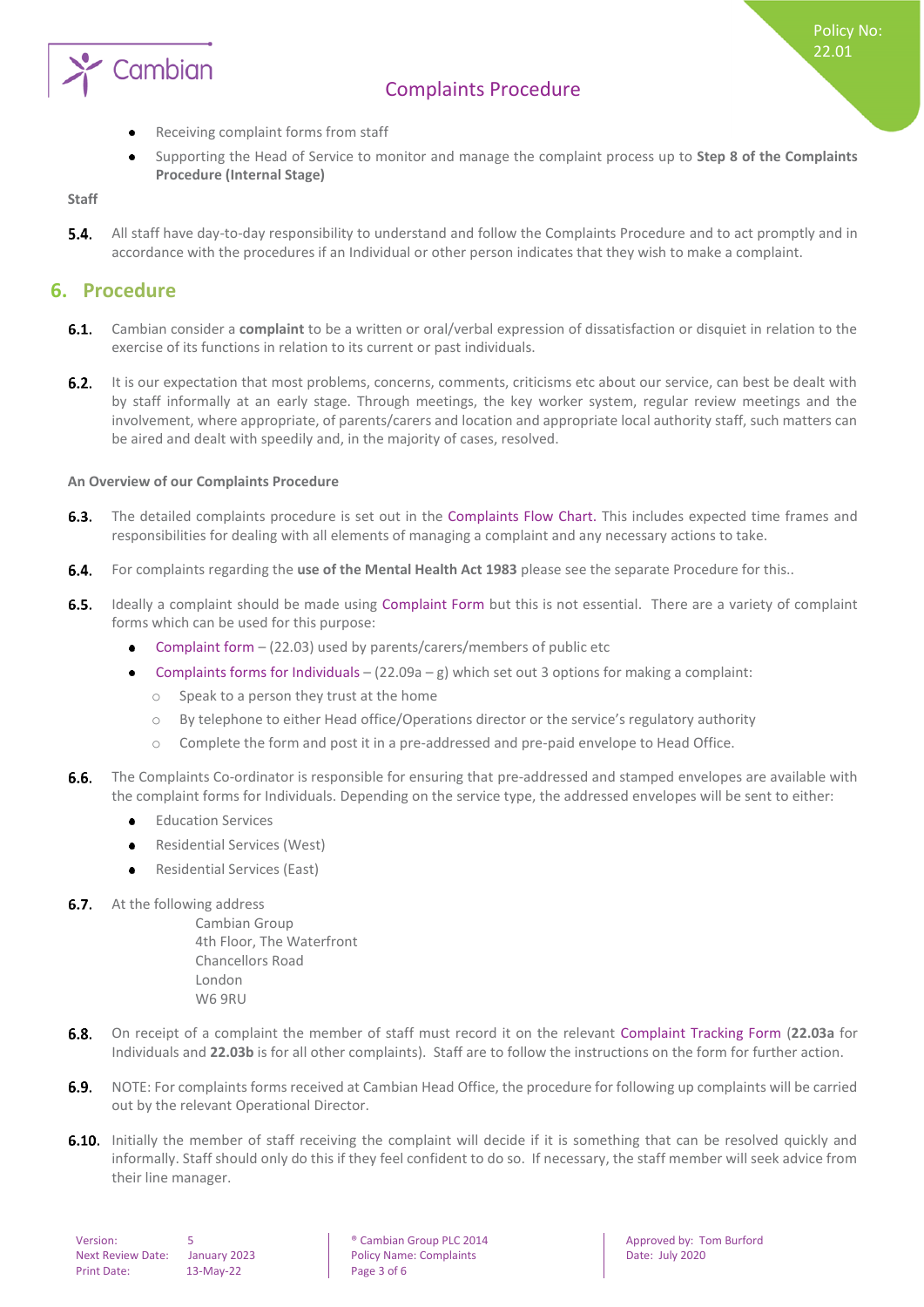

- Receiving complaint forms from staff  $\bullet$
- Supporting the Head of Service to monitor and manage the complaint process up to **Step 8 of the Complaints Procedure (Internal Stage)**

<span id="page-2-0"></span>**Staff**

**5.4.** All staff have day-to-day responsibility to understand and follow the Complaints Procedure and to act promptly and in accordance with the procedures if an Individual or other person indicates that they wish to make a complaint.

### <span id="page-2-1"></span>**6. Procedure**

- $6.1.$ Cambian consider a **complaint** to be a written or oral/verbal expression of dissatisfaction or disquiet in relation to the exercise of its functions in relation to its current or past individuals.
- $6.2.$ It is our expectation that most problems, concerns, comments, criticisms etc about our service, can best be dealt with by staff informally at an early stage. Through meetings, the key worker system, regular review meetings and the involvement, where appropriate, of parents/carers and location and appropriate local authority staff, such matters can be aired and dealt with speedily and, in the majority of cases, resolved.

### <span id="page-2-2"></span>**An Overview of our Complaints Procedure**

- $6.3.$ The detailed complaints procedure is set out in the Complaints Flow Chart. This includes expected time frames and responsibilities for dealing with all elements of managing a complaint and any necessary actions to take.
- $6.4.$ For complaints regarding the **use of the Mental Health Act 1983** please see the separate Procedure for this..
- $6.5.$ Ideally a complaint should be made using Complaint Form but this is not essential. There are a variety of complaint forms which can be used for this purpose:
	- Complaint form (22.03) used by parents/carers/members of public etc
	- Complaints forms for Individuals  $(22.09a g)$  which set out 3 options for making a complaint:  $\bullet$ 
		- o Speak to a person they trust at the home
		- o By telephone to either Head office/Operations director or the service's regulatory authority
		- o Complete the form and post it in a pre-addressed and pre-paid envelope to Head Office.
- $6.6.$ The Complaints Co-ordinator is responsible for ensuring that pre-addressed and stamped envelopes are available with the complaint forms for Individuals. Depending on the service type, the addressed envelopes will be sent to either:
	- Education Services
	- Residential Services (West)
	- Residential Services (East)
- **6.7.** At the following address

Cambian Group 4th Floor, The Waterfront Chancellors Road London W6 9RU

- On receipt of a complaint the member of staff must record it on the relevant Complaint Tracking Form (**22.03a** for  $6.8.$ Individuals and **22.03b** is for all other complaints). Staff are to follow the instructions on the form for further action.
- 6.9. NOTE: For complaints forms received at Cambian Head Office, the procedure for following up complaints will be carried out by the relevant Operational Director.
- **6.10.** Initially the member of staff receiving the complaint will decide if it is something that can be resolved quickly and informally. Staff should only do this if they feel confident to do so. If necessary, the staff member will seek advice from their line manager.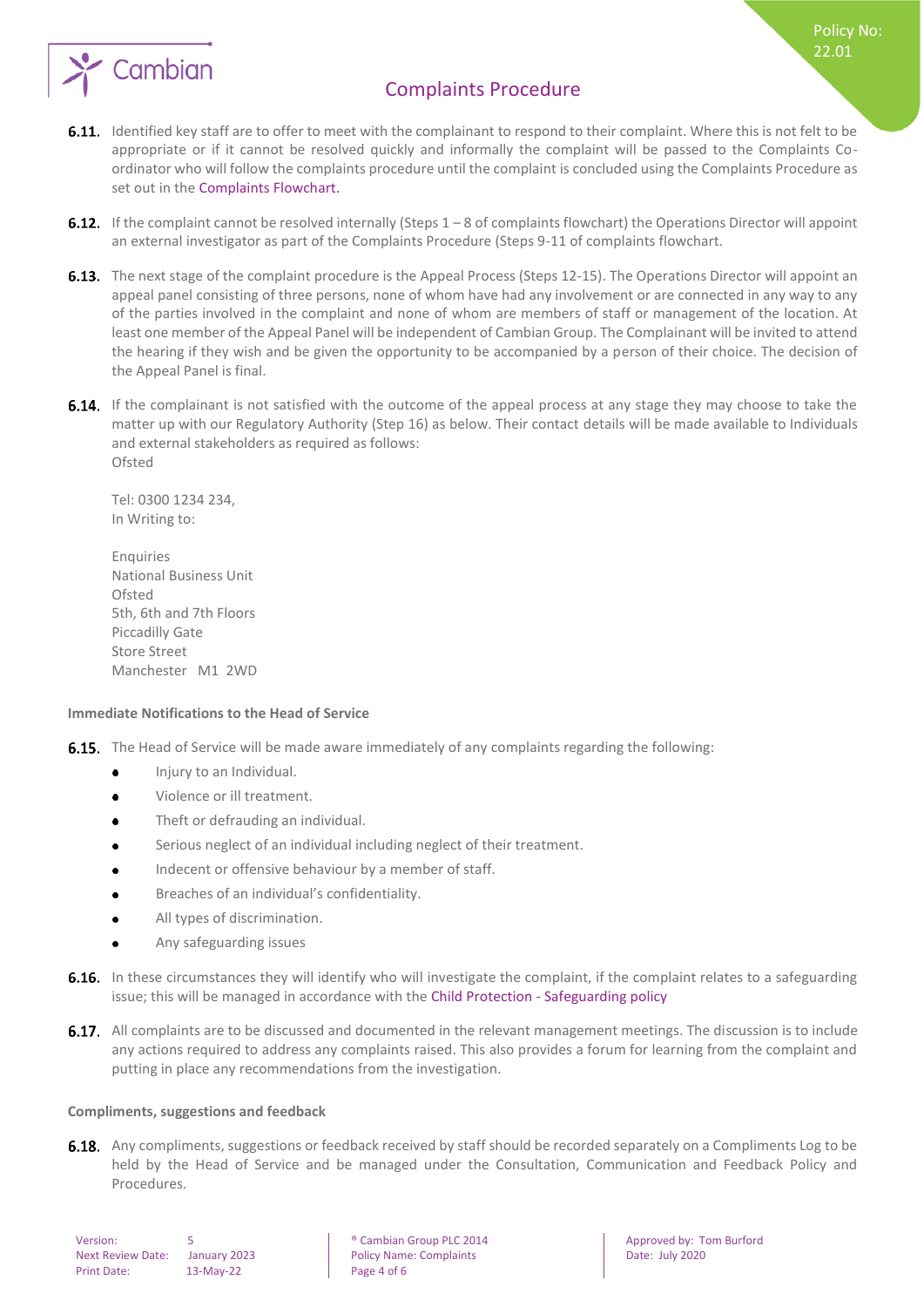

Policy No: 22.01

- 6.11. Identified key staff are to offer to meet with the complainant to respond to their complaint. Where this is not felt to be appropriate or if it cannot be resolved quickly and informally the complaint will be passed to the Complaints Coordinator who will follow the complaints procedure until the complaint is concluded using the Complaints Procedure as set out in the Complaints Flowchart.
- **6.12.** If the complaint cannot be resolved internally (Steps  $1 8$  of complaints flowchart) the Operations Director will appoint an external investigator as part of the Complaints Procedure (Steps 9-11 of complaints flowchart.
- 6.13. The next stage of the complaint procedure is the Appeal Process (Steps 12-15). The Operations Director will appoint an appeal panel consisting of three persons, none of whom have had any involvement or are connected in any way to any of the parties involved in the complaint and none of whom are members of staff or management of the location. At least one member of the Appeal Panel will be independent of Cambian Group. The Complainant will be invited to attend the hearing if they wish and be given the opportunity to be accompanied by a person of their choice. The decision of the Appeal Panel is final.
- **6.14.** If the complainant is not satisfied with the outcome of the appeal process at any stage they may choose to take the matter up with our Regulatory Authority (Step 16) as below. Their contact details will be made available to Individuals and external stakeholders as required as follows: Ofsted

Tel: 0300 1234 234, In Writing to:

Enquiries National Business Unit Ofsted 5th, 6th and 7th Floors Piccadilly Gate Store Street Manchester M1 2WD

#### <span id="page-3-0"></span>**Immediate Notifications to the Head of Service**

- **6.15.** The Head of Service will be made aware immediately of any complaints regarding the following:
	- Injury to an Individual.  $\bullet$
	- $\bullet$ Violence or ill treatment.
	- Theft or defrauding an individual.
	- Serious neglect of an individual including neglect of their treatment.
	- Indecent or offensive behaviour by a member of staff.  $\bullet$
	- Breaches of an individual's confidentiality.  $\bullet$
	- $\bullet$ All types of discrimination.
	- Any safeguarding issues
- 6.16. In these circumstances they will identify who will investigate the complaint, if the complaint relates to a safeguarding issue; this will be managed in accordance with the Child Protection - Safeguarding policy
- **6.17.** All complaints are to be discussed and documented in the relevant management meetings. The discussion is to include any actions required to address any complaints raised. This also provides a forum for learning from the complaint and putting in place any recommendations from the investigation.

#### <span id="page-3-1"></span>**Compliments, suggestions and feedback**

6.18. Any compliments, suggestions or feedback received by staff should be recorded separately on a Compliments Log to be held by the Head of Service and be managed under the Consultation, Communication and Feedback Policy and Procedures.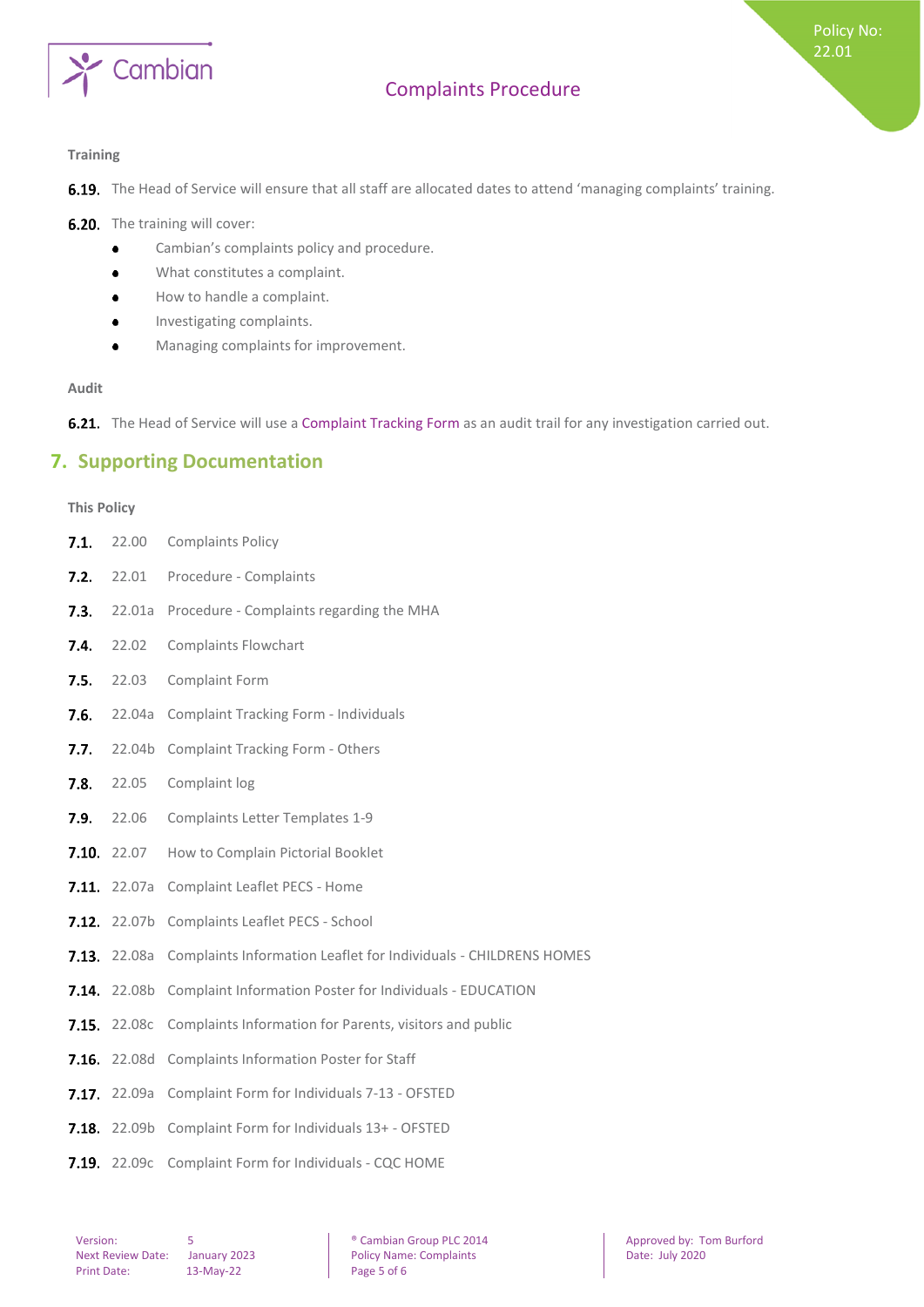

### <span id="page-4-0"></span>**Training**

6.19. The Head of Service will ensure that all staff are allocated dates to attend 'managing complaints' training.

6.20. The training will cover:

- $\bullet$ Cambian's complaints policy and procedure.
- What constitutes a complaint.  $\bullet$
- How to handle a complaint.  $\bullet$
- Investigating complaints.  $\bullet$
- Managing complaints for improvement.  $\bullet$

#### **Audit**

<span id="page-4-1"></span>6.21. The Head of Service will use a Complaint Tracking Form as an audit trail for any investigation carried out.

### **7. Supporting Documentation**

### <span id="page-4-2"></span>**This Policy**

| 7.1. | 22.00               | <b>Complaints Policy</b>                                         |
|------|---------------------|------------------------------------------------------------------|
| 7.2. | 22.01               | Procedure - Complaints                                           |
| 7.3. | 22.01a              | Procedure - Complaints regarding the MHA                         |
| 7.4. | 22.02               | <b>Complaints Flowchart</b>                                      |
| 7.5. | 22.03               | Complaint Form                                                   |
| 7.6. | 22.04a              | Complaint Tracking Form - Individuals                            |
| 7.7. | 22.04b              | <b>Complaint Tracking Form - Others</b>                          |
| 7.8. | 22.05               | Complaint log                                                    |
| 7.9. | 22.06               | <b>Complaints Letter Templates 1-9</b>                           |
|      | <b>7.10.</b> 22.07  | How to Complain Pictorial Booklet                                |
|      | <b>7.11.</b> 22.07a | Complaint Leaflet PECS - Home                                    |
|      | 7.12. 22.07b        | Complaints Leaflet PECS - School                                 |
|      | <b>7.13.</b> 22.08a | Complaints Information Leaflet for Individuals - CHILDRENS HOMES |
|      | 7.14. 22.08b        | Complaint Information Poster for Individuals - EDUCATION         |
|      | <b>7.15.</b> 22.08c | Complaints Information for Parents, visitors and public          |
|      |                     | 7.16. 22.08d Complaints Information Poster for Staff             |
|      | <b>7.17.</b> 22.09a | Complaint Form for Individuals 7-13 - OFSTED                     |
|      |                     | 7.18. 22.09b Complaint Form for Individuals 13+ - OFSTED         |
|      | 7.19. 22.09c        | Complaint Form for Individuals - CQC HOME                        |